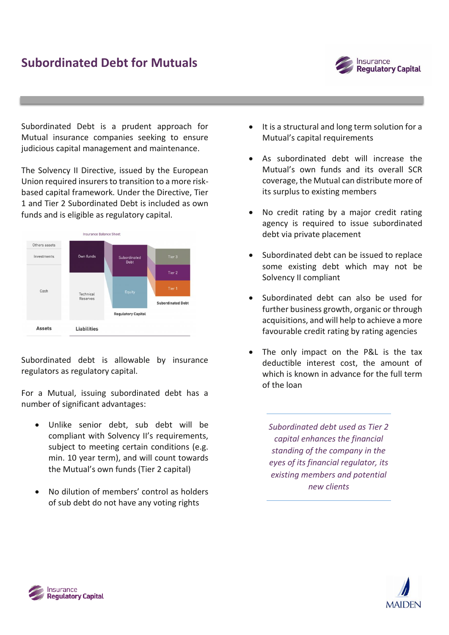

Subordinated Debt is a prudent approach for Mutual insurance companies seeking to ensure judicious capital management and maintenance.

The Solvency II Directive, issued by the European Union required insurers to transition to a more riskbased capital framework. Under the Directive, Tier 1 and Tier 2 Subordinated Debt is included as own funds and is eligible as regulatory capital.



Subordinated debt is allowable by insurance regulators as regulatory capital.

For a Mutual, issuing subordinated debt has a number of significant advantages:

- Unlike senior debt, sub debt will be compliant with Solvency II's requirements, subject to meeting certain conditions (e.g. min. 10 year term), and will count towards the Mutual's own funds (Tier 2 capital)
- No dilution of members' control as holders of sub debt do not have any voting rights
- It is a structural and long term solution for a Mutual's capital requirements
- As subordinated debt will increase the Mutual's own funds and its overall SCR coverage, the Mutual can distribute more of its surplus to existing members
- No credit rating by a major credit rating agency is required to issue subordinated debt via private placement
- Subordinated debt can be issued to replace some existing debt which may not be Solvency II compliant
- Subordinated debt can also be used for further business growth, organic or through acquisitions, and will help to achieve a more favourable credit rating by rating agencies
- The only impact on the P&L is the tax deductible interest cost, the amount of which is known in advance for the full term of the loan

*Subordinated debt used as Tier 2 capital enhances the financial standing of the company in the eyes of its financial regulator, its existing members and potential new clients*



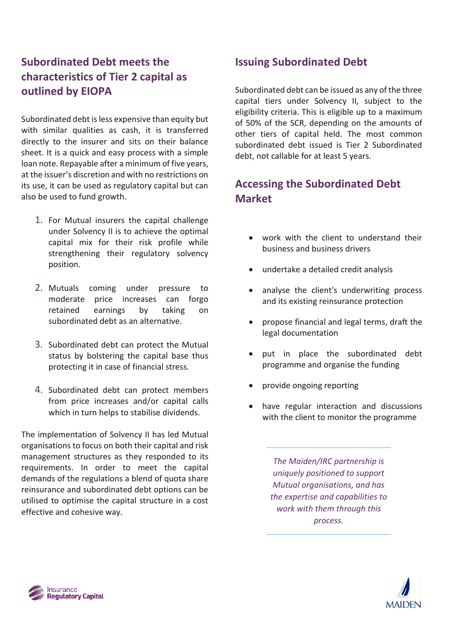# **Subordinated Debt meets the characteristics of Tier 2 capital as outlined by EIOPA**

Subordinated debt is less expensive than equity but with similar qualities as cash, it is transferred directly to the insurer and sits on their balance sheet. It is a quick and easy process with a simple loan note. Repayable after a minimum of five years, at the issuer's discretion and with no restrictions on its use, it can be used as regulatory capital but can also be used to fund growth.

- 1. For Mutual insurers the capital challenge under Solvency II is to achieve the optimal capital mix for their risk profile while strengthening their regulatory solvency position.
- 2. Mutuals coming under pressure to moderate price increases can forgo retained earnings by taking on subordinated debt as an alternative.
- 3. Subordinated debt can protect the Mutual status by bolstering the capital base thus protecting it in case of financial stress.
- 4. Subordinated debt can protect members from price increases and/or capital calls which in turn helps to stabilise dividends.

The implementation of Solvency II has led Mutual organisations to focus on both their capital and risk management structures as they responded to its requirements. In order to meet the capital demands of the regulations a blend of quota share reinsurance and subordinated debt options can be utilised to optimise the capital structure in a cost effective and cohesive way.

## **Issuing Subordinated Debt**

Subordinated debt can be issued as any of the three capital tiers under Solvency II, subject to the eligibility criteria. This is eligible up to a maximum of 50% of the SCR, depending on the amounts of other tiers of capital held. The most common subordinated debt issued is Tier 2 Subordinated debt, not callable for at least 5 years.

## **Accessing the Subordinated Debt Market**

- work with the client to understand their business and business drivers
- undertake a detailed credit analysis
- analyse the client's underwriting process and its existing reinsurance protection
- propose financial and legal terms, draft the legal documentation
- put in place the subordinated debt programme and organise the funding
- provide ongoing reporting
- have regular interaction and discussions with the client to monitor the programme

*The Maiden/IRC partnership is uniquely positioned to support Mutual organisations, and has the expertise and capabilities to work with them through this process.*